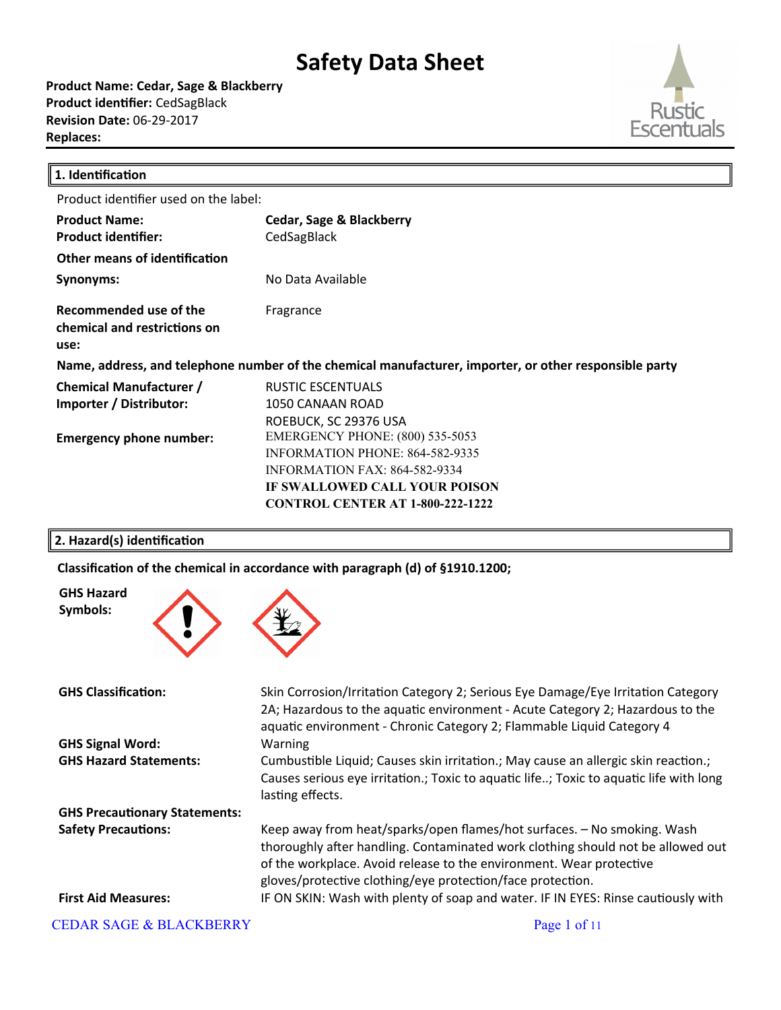**Product Name: Cedar, Sage & Blackberry Product identifier:** CedSagBlack **Revision Date:** 06-29-2017 **Replaces:** 



╜

| 1. Identification                                                                                      |                                                                                                                                                                                               |  |
|--------------------------------------------------------------------------------------------------------|-----------------------------------------------------------------------------------------------------------------------------------------------------------------------------------------------|--|
| Product identifier used on the label:                                                                  |                                                                                                                                                                                               |  |
| <b>Product Name:</b><br><b>Product identifier:</b>                                                     | Cedar, Sage & Blackberry<br>CedSagBlack                                                                                                                                                       |  |
| Other means of identification                                                                          |                                                                                                                                                                                               |  |
| Synonyms:                                                                                              | No Data Available                                                                                                                                                                             |  |
| Recommended use of the<br>chemical and restrictions on<br>use:                                         | Fragrance                                                                                                                                                                                     |  |
| Name, address, and telephone number of the chemical manufacturer, importer, or other responsible party |                                                                                                                                                                                               |  |
| <b>Chemical Manufacturer /</b><br>Importer / Distributor:                                              | RUSTIC ESCENTUALS<br>1050 CANAAN ROAD<br>ROEBUCK, SC 29376 USA                                                                                                                                |  |
| <b>Emergency phone number:</b>                                                                         | <b>EMERGENCY PHONE: (800) 535-5053</b><br><b>INFORMATION PHONE: 864-582-9335</b><br>INFORMATION FAX: 864-582-9334<br>IF SWALLOWED CALL YOUR POISON<br><b>CONTROL CENTER AT 1-800-222-1222</b> |  |

### **2. Hazard(s) identification**

Classification of the chemical in accordance with paragraph (d) of §1910.1200;



| <b>GHS Classification:</b>           | Skin Corrosion/Irritation Category 2; Serious Eye Damage/Eye Irritation Category                                                                                                                                                                                                                |
|--------------------------------------|-------------------------------------------------------------------------------------------------------------------------------------------------------------------------------------------------------------------------------------------------------------------------------------------------|
|                                      | 2A; Hazardous to the aquatic environment - Acute Category 2; Hazardous to the<br>aquatic environment - Chronic Category 2; Flammable Liquid Category 4                                                                                                                                          |
| <b>GHS Signal Word:</b>              | Warning                                                                                                                                                                                                                                                                                         |
| <b>GHS Hazard Statements:</b>        | Cumbustible Liquid; Causes skin irritation.; May cause an allergic skin reaction.;<br>Causes serious eye irritation.; Toxic to aquatic life; Toxic to aquatic life with long<br>lasting effects.                                                                                                |
| <b>GHS Precautionary Statements:</b> |                                                                                                                                                                                                                                                                                                 |
| <b>Safety Precautions:</b>           | Keep away from heat/sparks/open flames/hot surfaces. - No smoking. Wash<br>thoroughly after handling. Contaminated work clothing should not be allowed out<br>of the workplace. Avoid release to the environment. Wear protective<br>gloves/protective clothing/eye protection/face protection. |
| <b>First Aid Measures:</b>           | IF ON SKIN: Wash with plenty of soap and water. IF IN EYES: Rinse cautiously with                                                                                                                                                                                                               |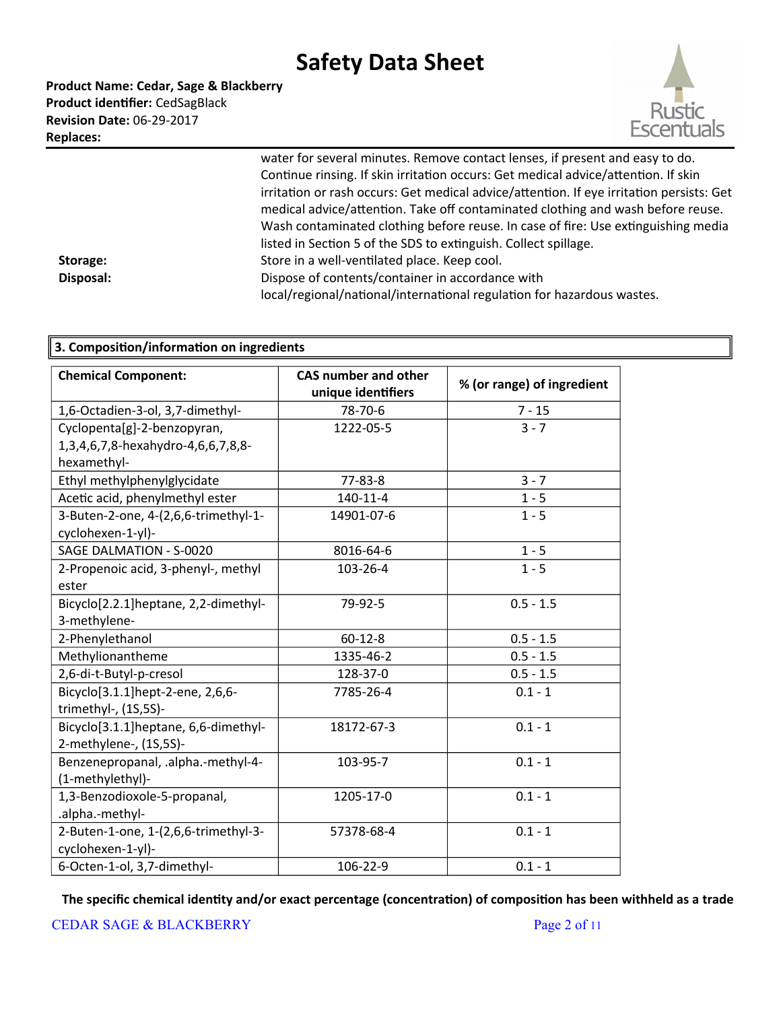**Product Name: Cedar, Sage & Blackberry Product identifier:** CedSagBlack **Revision Date:** 06-29-2017 **Replaces:** 



water for several minutes. Remove contact lenses, if present and easy to do. Continue rinsing. If skin irritation occurs: Get medical advice/attention. If skin irritation or rash occurs: Get medical advice/attention. If eye irritation persists: Get medical advice/attention. Take off contaminated clothing and wash before reuse. Wash contaminated clothing before reuse. In case of fire: Use extinguishing media listed in Section 5 of the SDS to extinguish. Collect spillage. **Storage:** Store in a well-ventilated place. Keep cool. **Disposal:** Dispose of contents/container in accordance with local/regional/national/international regulation for hazardous wastes.

| 3. Composition/information on ingredients |                                                   |                            |  |
|-------------------------------------------|---------------------------------------------------|----------------------------|--|
| <b>Chemical Component:</b>                | <b>CAS number and other</b><br>unique identifiers | % (or range) of ingredient |  |
| 1,6-Octadien-3-ol, 3,7-dimethyl-          | 78-70-6                                           | $7 - 15$                   |  |
| Cyclopenta[g]-2-benzopyran,               | 1222-05-5                                         | $3 - 7$                    |  |
| 1,3,4,6,7,8-hexahydro-4,6,6,7,8,8-        |                                                   |                            |  |
| hexamethyl-                               |                                                   |                            |  |
| Ethyl methylphenylglycidate               | $77 - 83 - 8$                                     | $3 - 7$                    |  |
| Acetic acid, phenylmethyl ester           | $140 - 11 - 4$                                    | $1 - 5$                    |  |
| 3-Buten-2-one, 4-(2,6,6-trimethyl-1-      | 14901-07-6                                        | $1 - 5$                    |  |
| cyclohexen-1-yl)-                         |                                                   |                            |  |
| SAGE DALMATION - S-0020                   | 8016-64-6                                         | $1 - 5$                    |  |
| 2-Propenoic acid, 3-phenyl-, methyl       | 103-26-4                                          | $1 - 5$                    |  |
| ester                                     |                                                   |                            |  |
| Bicyclo[2.2.1]heptane, 2,2-dimethyl-      | 79-92-5                                           | $0.5 - 1.5$                |  |
| 3-methylene-                              |                                                   |                            |  |
| 2-Phenylethanol                           | $60 - 12 - 8$                                     | $0.5 - 1.5$                |  |
| Methylionantheme                          | 1335-46-2                                         | $0.5 - 1.5$                |  |
| 2,6-di-t-Butyl-p-cresol                   | 128-37-0                                          | $0.5 - 1.5$                |  |
| Bicyclo[3.1.1]hept-2-ene, 2,6,6-          | 7785-26-4                                         | $0.1 - 1$                  |  |
| trimethyl-, (1S,5S)-                      |                                                   |                            |  |
| Bicyclo[3.1.1]heptane, 6,6-dimethyl-      | 18172-67-3                                        | $0.1 - 1$                  |  |
| 2-methylene-, (1S,5S)-                    |                                                   |                            |  |
| Benzenepropanal, .alpha.-methyl-4-        | 103-95-7                                          | $0.1 - 1$                  |  |
| (1-methylethyl)-                          |                                                   |                            |  |
| 1,3-Benzodioxole-5-propanal,              | 1205-17-0                                         | $0.1 - 1$                  |  |
| .alpha.-methyl-                           |                                                   |                            |  |
| 2-Buten-1-one, 1-(2,6,6-trimethyl-3-      | 57378-68-4                                        | $0.1 - 1$                  |  |
| cyclohexen-1-yl)-                         |                                                   |                            |  |
| 6-Octen-1-ol, 3,7-dimethyl-               | 106-22-9                                          | $0.1 - 1$                  |  |

**The specific chemical identity and/or exact percentage (concentration) of composition has been withheld as a trade**

CEDAR SAGE & BLACKBERRY Page 2 of 11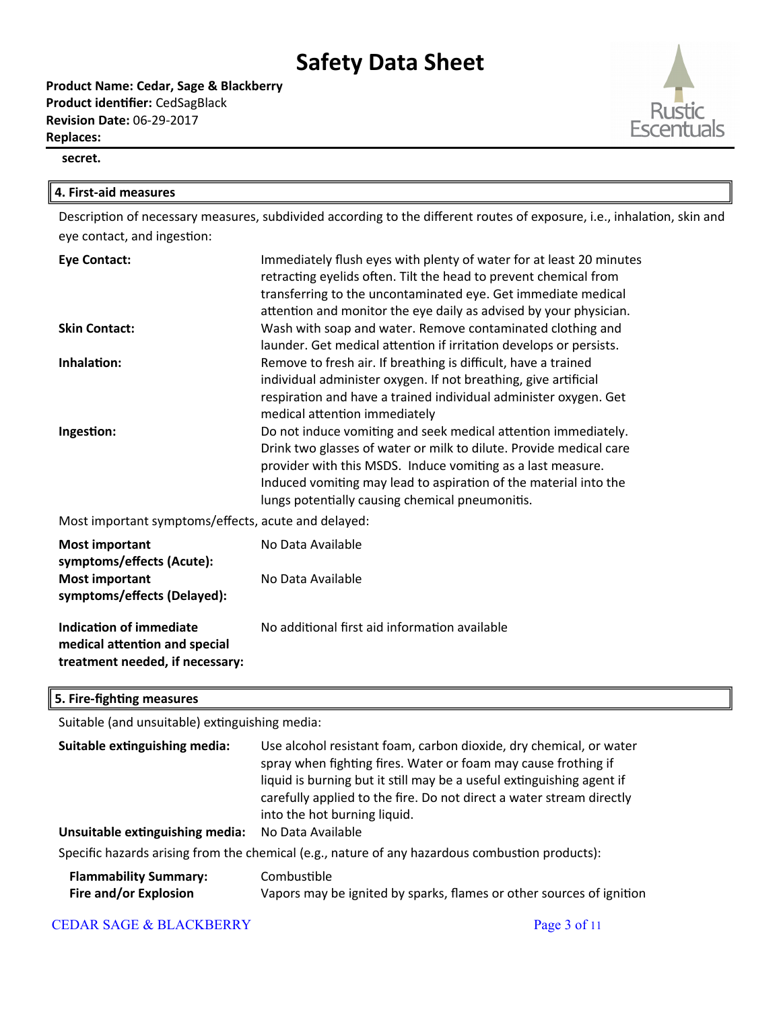**Product Name: Cedar, Sage & Blackberry Product identifier:** CedSagBlack **Revision Date:** 06-29-2017 **Replaces:** 



#### **4. First-aid measures**

Description of necessary measures, subdivided according to the different routes of exposure, i.e., inhalation, skin and eye contact, and ingestion:

| <b>Eye Contact:</b>                                  | Immediately flush eyes with plenty of water for at least 20 minutes<br>retracting eyelids often. Tilt the head to prevent chemical from<br>transferring to the uncontaminated eye. Get immediate medical<br>attention and monitor the eye daily as advised by your physician.                                              |
|------------------------------------------------------|----------------------------------------------------------------------------------------------------------------------------------------------------------------------------------------------------------------------------------------------------------------------------------------------------------------------------|
| <b>Skin Contact:</b>                                 | Wash with soap and water. Remove contaminated clothing and<br>launder. Get medical attention if irritation develops or persists.                                                                                                                                                                                           |
| Inhalation:                                          | Remove to fresh air. If breathing is difficult, have a trained<br>individual administer oxygen. If not breathing, give artificial<br>respiration and have a trained individual administer oxygen. Get<br>medical attention immediately                                                                                     |
| Ingestion:                                           | Do not induce vomiting and seek medical attention immediately.<br>Drink two glasses of water or milk to dilute. Provide medical care<br>provider with this MSDS. Induce vomiting as a last measure.<br>Induced vomiting may lead to aspiration of the material into the<br>lungs potentially causing chemical pneumonitis. |
| Most important symptoms/effects, acute and delayed:  |                                                                                                                                                                                                                                                                                                                            |
| <b>Most important</b><br>symptoms/effects (Acute):   | No Data Available                                                                                                                                                                                                                                                                                                          |
| <b>Most important</b><br>symptoms/effects (Delayed): | No Data Available                                                                                                                                                                                                                                                                                                          |

**Indication of immediate medical atention and special treatment needed, if necessary:** No additional first aid information available

#### **5. Fire-fighting measures**

Suitable (and unsuitable) extinguishing media:

| Suitable extinguishing media:<br>Unsuitable extinguishing media: | Use alcohol resistant foam, carbon dioxide, dry chemical, or water<br>spray when fighting fires. Water or foam may cause frothing if<br>liquid is burning but it still may be a useful extinguishing agent if<br>carefully applied to the fire. Do not direct a water stream directly<br>into the hot burning liquid.<br>No Data Available |
|------------------------------------------------------------------|--------------------------------------------------------------------------------------------------------------------------------------------------------------------------------------------------------------------------------------------------------------------------------------------------------------------------------------------|
|                                                                  |                                                                                                                                                                                                                                                                                                                                            |
|                                                                  | Specific hazards arising from the chemical (e.g., nature of any hazardous combustion products):                                                                                                                                                                                                                                            |
| <b>Flammability Summary:</b><br>Fire and/or Explosion            | Combustible<br>Vapors may be ignited by sparks, flames or other sources of ignition                                                                                                                                                                                                                                                        |

### CEDAR SAGE & BLACKBERRY Page 3 of 11

**Esc**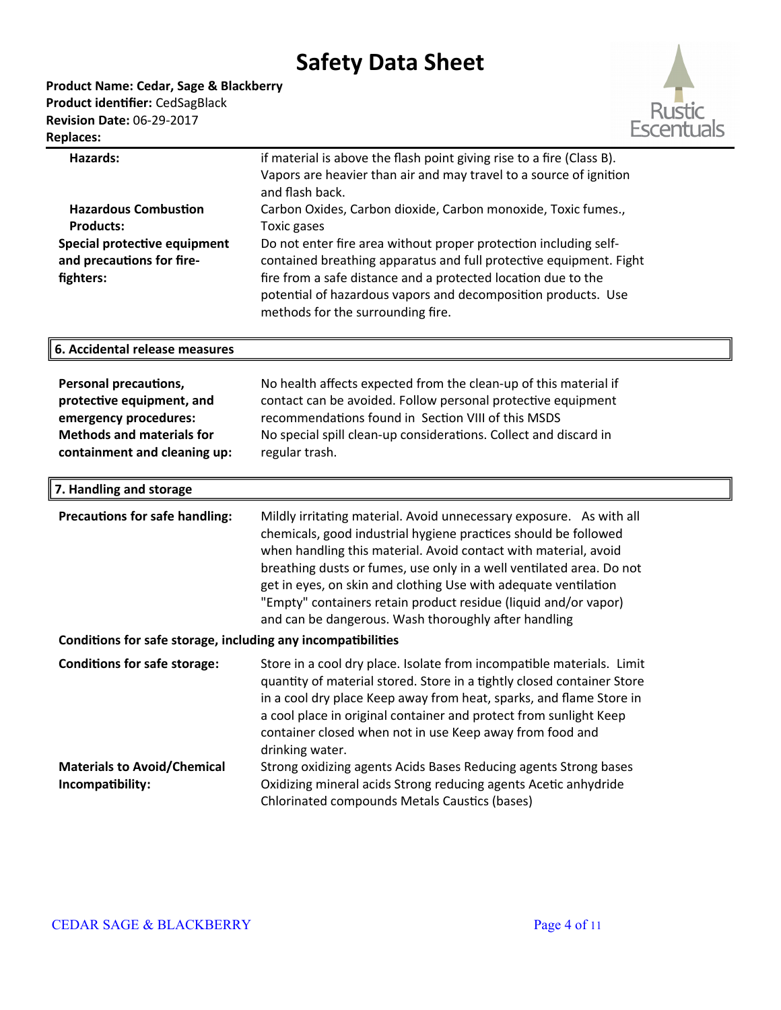

| <b>Hazards:</b>                                              | if material is above the flash point giving rise to a fire (Class B).  |
|--------------------------------------------------------------|------------------------------------------------------------------------|
|                                                              | Vapors are heavier than air and may travel to a source of ignition     |
|                                                              | and flash back.                                                        |
| <b>Hazardous Combustion</b>                                  | Carbon Oxides, Carbon dioxide, Carbon monoxide, Toxic fumes.,          |
| <b>Products:</b>                                             | Toxic gases                                                            |
| Special protective equipment                                 | Do not enter fire area without proper protection including self-       |
| and precautions for fire-                                    | contained breathing apparatus and full protective equipment. Fight     |
| fighters:                                                    | fire from a safe distance and a protected location due to the          |
|                                                              | potential of hazardous vapors and decomposition products. Use          |
|                                                              | methods for the surrounding fire.                                      |
| 6. Accidental release measures                               |                                                                        |
|                                                              |                                                                        |
| <b>Personal precautions,</b>                                 | No health affects expected from the clean-up of this material if       |
| protective equipment, and                                    | contact can be avoided. Follow personal protective equipment           |
| emergency procedures:                                        | recommendations found in Section VIII of this MSDS                     |
| <b>Methods and materials for</b>                             | No special spill clean-up considerations. Collect and discard in       |
| containment and cleaning up:                                 | regular trash.                                                         |
| 7. Handling and storage                                      |                                                                        |
| <b>Precautions for safe handling:</b>                        | Mildly irritating material. Avoid unnecessary exposure. As with all    |
|                                                              | chemicals, good industrial hygiene practices should be followed        |
|                                                              | when handling this material. Avoid contact with material, avoid        |
|                                                              | breathing dusts or fumes, use only in a well ventilated area. Do not   |
|                                                              | get in eyes, on skin and clothing Use with adequate ventilation        |
|                                                              | "Empty" containers retain product residue (liquid and/or vapor)        |
|                                                              | and can be dangerous. Wash thoroughly after handling                   |
| Conditions for safe storage, including any incompatibilities |                                                                        |
| <b>Conditions for safe storage:</b>                          | Store in a cool dry place. Isolate from incompatible materials. Limit  |
|                                                              | quantity of material stored. Store in a tightly closed container Store |
|                                                              | in a cool dry place Keep away from heat, sparks, and flame Store in    |
|                                                              | a cool place in original container and protect from sunlight Keep      |
|                                                              | container closed when not in use Keep away from food and               |
|                                                              | drinking water.                                                        |
| <b>Materials to Avoid/Chemical</b>                           | Strong oxidizing agents Acids Bases Reducing agents Strong bases       |
| Incompatibility:                                             | Oxidizing mineral acids Strong reducing agents Acetic anhydride        |
|                                                              | Chlorinated compounds Metals Caustics (bases)                          |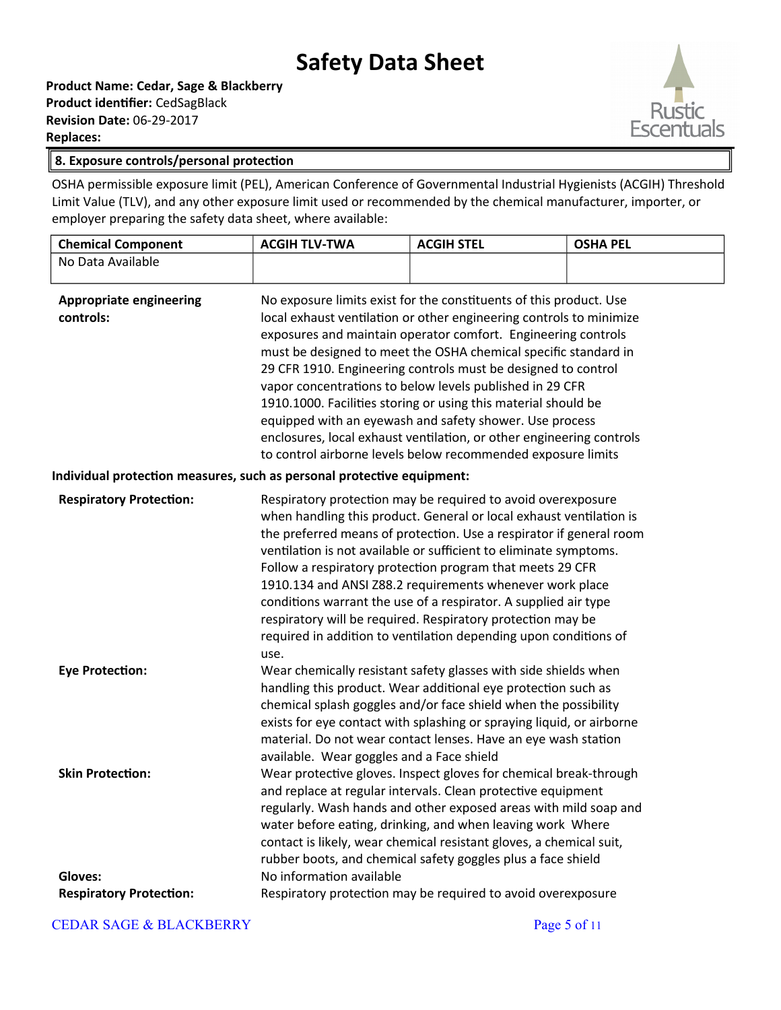**Product Name: Cedar, Sage & Blackberry Product identifier:** CedSagBlack **Revision Date:** 06-29-2017 **Replaces:** 



#### **8. Exposure controls/personal protection**

OSHA permissible exposure limit (PEL), American Conference of Governmental Industrial Hygienists (ACGIH) Threshold Limit Value (TLV), and any other exposure limit used or recommended by the chemical manufacturer, importer, or employer preparing the safety data sheet, where available:

| <b>Chemical Component</b>                                              | <b>ACGIH TLV-TWA</b>                                                                                                                                                                                                                                                                                                                                                                                                                                                                                                                                                                                                                                                            | <b>ACGIH STEL</b>                                                                                                                                                                                                                                                                                                                                                                                                                                                                                                                                                                                              | <b>OSHA PEL</b> |
|------------------------------------------------------------------------|---------------------------------------------------------------------------------------------------------------------------------------------------------------------------------------------------------------------------------------------------------------------------------------------------------------------------------------------------------------------------------------------------------------------------------------------------------------------------------------------------------------------------------------------------------------------------------------------------------------------------------------------------------------------------------|----------------------------------------------------------------------------------------------------------------------------------------------------------------------------------------------------------------------------------------------------------------------------------------------------------------------------------------------------------------------------------------------------------------------------------------------------------------------------------------------------------------------------------------------------------------------------------------------------------------|-----------------|
| No Data Available                                                      |                                                                                                                                                                                                                                                                                                                                                                                                                                                                                                                                                                                                                                                                                 |                                                                                                                                                                                                                                                                                                                                                                                                                                                                                                                                                                                                                |                 |
| <b>Appropriate engineering</b><br>controls:                            | No exposure limits exist for the constituents of this product. Use<br>local exhaust ventilation or other engineering controls to minimize<br>exposures and maintain operator comfort. Engineering controls<br>must be designed to meet the OSHA chemical specific standard in<br>29 CFR 1910. Engineering controls must be designed to control<br>vapor concentrations to below levels published in 29 CFR<br>1910.1000. Facilities storing or using this material should be<br>equipped with an eyewash and safety shower. Use process<br>enclosures, local exhaust ventilation, or other engineering controls<br>to control airborne levels below recommended exposure limits |                                                                                                                                                                                                                                                                                                                                                                                                                                                                                                                                                                                                                |                 |
| Individual protection measures, such as personal protective equipment: |                                                                                                                                                                                                                                                                                                                                                                                                                                                                                                                                                                                                                                                                                 |                                                                                                                                                                                                                                                                                                                                                                                                                                                                                                                                                                                                                |                 |
| <b>Respiratory Protection:</b>                                         | use.                                                                                                                                                                                                                                                                                                                                                                                                                                                                                                                                                                                                                                                                            | Respiratory protection may be required to avoid overexposure<br>when handling this product. General or local exhaust ventilation is<br>the preferred means of protection. Use a respirator if general room<br>ventilation is not available or sufficient to eliminate symptoms.<br>Follow a respiratory protection program that meets 29 CFR<br>1910.134 and ANSI Z88.2 requirements whenever work place<br>conditions warrant the use of a respirator. A supplied air type<br>respiratory will be required. Respiratory protection may be<br>required in addition to ventilation depending upon conditions of |                 |
| <b>Eye Protection:</b>                                                 | available. Wear goggles and a Face shield                                                                                                                                                                                                                                                                                                                                                                                                                                                                                                                                                                                                                                       | Wear chemically resistant safety glasses with side shields when<br>handling this product. Wear additional eye protection such as<br>chemical splash goggles and/or face shield when the possibility<br>exists for eye contact with splashing or spraying liquid, or airborne<br>material. Do not wear contact lenses. Have an eye wash station                                                                                                                                                                                                                                                                 |                 |
| <b>Skin Protection:</b>                                                |                                                                                                                                                                                                                                                                                                                                                                                                                                                                                                                                                                                                                                                                                 | Wear protective gloves. Inspect gloves for chemical break-through<br>and replace at regular intervals. Clean protective equipment<br>regularly. Wash hands and other exposed areas with mild soap and<br>water before eating, drinking, and when leaving work Where<br>contact is likely, wear chemical resistant gloves, a chemical suit,<br>rubber boots, and chemical safety goggles plus a face shield                                                                                                                                                                                                     |                 |
| <b>Gloves:</b>                                                         | No information available                                                                                                                                                                                                                                                                                                                                                                                                                                                                                                                                                                                                                                                        |                                                                                                                                                                                                                                                                                                                                                                                                                                                                                                                                                                                                                |                 |
| <b>Respiratory Protection:</b>                                         |                                                                                                                                                                                                                                                                                                                                                                                                                                                                                                                                                                                                                                                                                 | Respiratory protection may be required to avoid overexposure                                                                                                                                                                                                                                                                                                                                                                                                                                                                                                                                                   |                 |

CEDAR SAGE & BLACKBERRY Page 5 of 11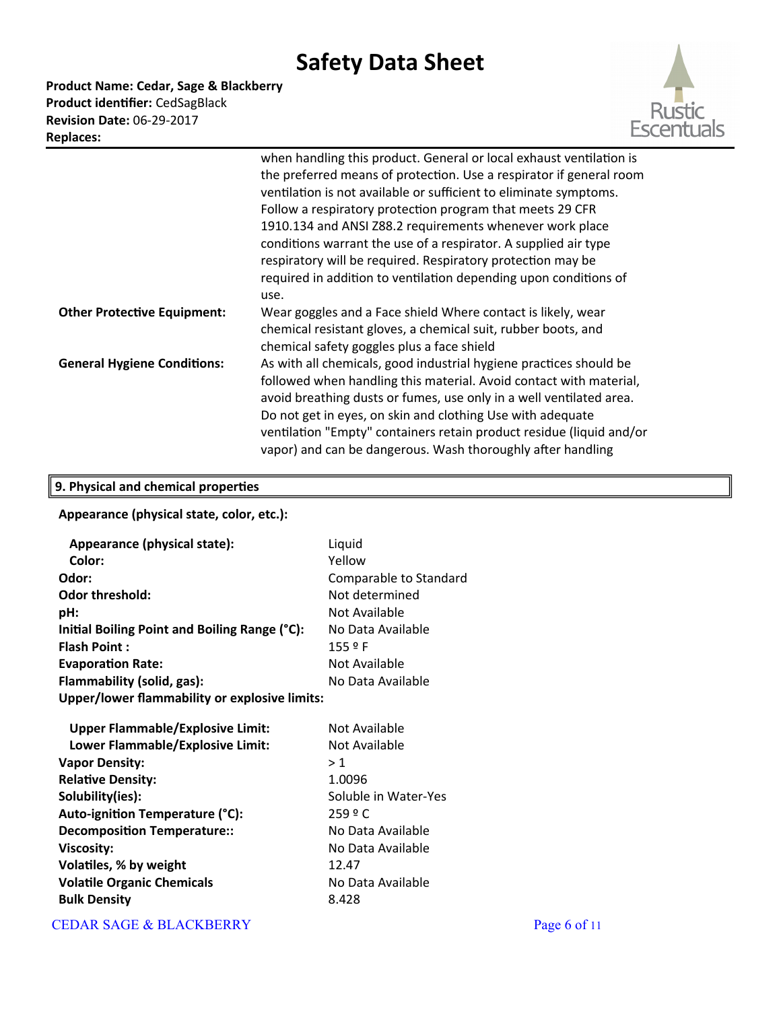**Product Name: Cedar, Sage & Blackberry Product identifier:** CedSagBlack **Revision Date:** 06-29-2017 **Replaces:** 



|                                    | when handling this product. General or local exhaust ventilation is  |  |
|------------------------------------|----------------------------------------------------------------------|--|
|                                    | the preferred means of protection. Use a respirator if general room  |  |
|                                    | ventilation is not available or sufficient to eliminate symptoms.    |  |
|                                    | Follow a respiratory protection program that meets 29 CFR            |  |
|                                    | 1910.134 and ANSI Z88.2 requirements whenever work place             |  |
|                                    | conditions warrant the use of a respirator. A supplied air type      |  |
|                                    | respiratory will be required. Respiratory protection may be          |  |
|                                    | required in addition to ventilation depending upon conditions of     |  |
|                                    | use.                                                                 |  |
| <b>Other Protective Equipment:</b> | Wear goggles and a Face shield Where contact is likely, wear         |  |
|                                    | chemical resistant gloves, a chemical suit, rubber boots, and        |  |
|                                    | chemical safety goggles plus a face shield                           |  |
| <b>General Hygiene Conditions:</b> | As with all chemicals, good industrial hygiene practices should be   |  |
|                                    | followed when handling this material. Avoid contact with material,   |  |
|                                    | avoid breathing dusts or fumes, use only in a well ventilated area.  |  |
|                                    | Do not get in eyes, on skin and clothing Use with adequate           |  |
|                                    | ventilation "Empty" containers retain product residue (liquid and/or |  |
|                                    | vapor) and can be dangerous. Wash thoroughly after handling          |  |

### **9. Physical and chemical properties**

### **Appearance (physical state, color, etc.):**

| Appearance (physical state):                  | Liquid                 |
|-----------------------------------------------|------------------------|
| Color:                                        | Yellow                 |
| Odor:                                         | Comparable to Standard |
| <b>Odor threshold:</b>                        | Not determined         |
| pH:                                           | Not Available          |
| Initial Boiling Point and Boiling Range (°C): | No Data Available      |
| <b>Flash Point:</b>                           | 155P                   |
| <b>Evaporation Rate:</b>                      | Not Available          |
| Flammability (solid, gas):                    | No Data Available      |
| Upper/lower flammability or explosive limits: |                        |
|                                               |                        |
| <b>Upper Flammable/Explosive Limit:</b>       | Not Available          |
| Lower Flammable/Explosive Limit:              | Not Available          |
| <b>Vapor Density:</b>                         | >1                     |
| <b>Relative Density:</b>                      | 1.0096                 |
| Solubility(ies):                              | Soluble in Water-Yes   |
| Auto-ignition Temperature (°C):               | 259 º C                |
| <b>Decomposition Temperature::</b>            | No Data Available      |
| <b>Viscosity:</b>                             | No Data Available      |
| Volatiles, % by weight                        | 12.47                  |
| <b>Volatile Organic Chemicals</b>             | No Data Available      |
| <b>Bulk Density</b>                           | 8.428                  |

### CEDAR SAGE & BLACKBERRY Page 6 of 11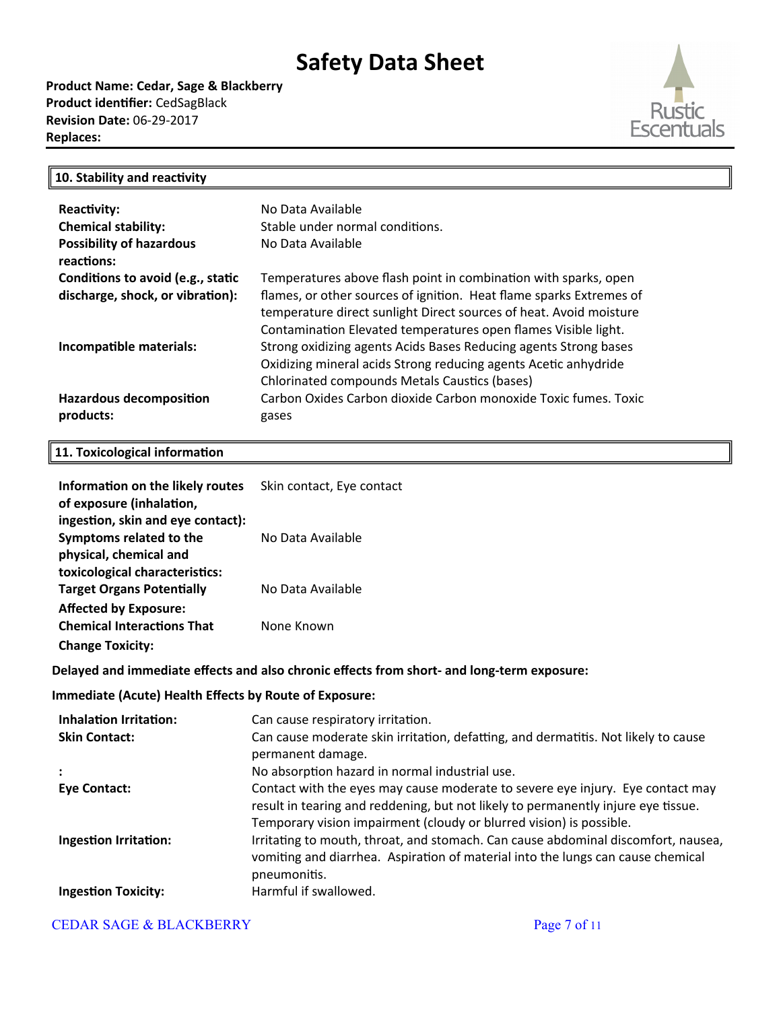**Product Name: Cedar, Sage & Blackberry Product identifier:** CedSagBlack **Revision Date:** 06-29-2017 **Replaces:** 



### **10. Stability and reactivity**

| <b>Reactivity:</b><br><b>Chemical stability:</b><br><b>Possibility of hazardous</b><br>reactions: | No Data Available<br>Stable under normal conditions.<br>No Data Available                                                                                                                                                                                                      |
|---------------------------------------------------------------------------------------------------|--------------------------------------------------------------------------------------------------------------------------------------------------------------------------------------------------------------------------------------------------------------------------------|
| Conditions to avoid (e.g., static<br>discharge, shock, or vibration):                             | Temperatures above flash point in combination with sparks, open<br>flames, or other sources of ignition. Heat flame sparks Extremes of<br>temperature direct sunlight Direct sources of heat. Avoid moisture<br>Contamination Elevated temperatures open flames Visible light. |
| Incompatible materials:                                                                           | Strong oxidizing agents Acids Bases Reducing agents Strong bases<br>Oxidizing mineral acids Strong reducing agents Acetic anhydride<br>Chlorinated compounds Metals Caustics (bases)                                                                                           |
| <b>Hazardous decomposition</b><br>products:                                                       | Carbon Oxides Carbon dioxide Carbon monoxide Toxic fumes. Toxic<br>gases                                                                                                                                                                                                       |

### **11. Toxicological information**

| Information on the likely routes<br>of exposure (inhalation,<br>ingestion, skin and eye contact): | Skin contact, Eye contact |
|---------------------------------------------------------------------------------------------------|---------------------------|
| Symptoms related to the                                                                           | No Data Available         |
| physical, chemical and<br>toxicological characteristics:                                          |                           |
| <b>Target Organs Potentially</b>                                                                  | No Data Available         |
| <b>Affected by Exposure:</b>                                                                      |                           |
| <b>Chemical Interactions That</b><br><b>Change Toxicity:</b>                                      | None Known                |

#### **Delayed and immediate effects and also chronic effects from short- and long-term exposure:**

#### **Immediate (Acute) Health Effects by Route of Exposure:**

| <b>Inhalation Irritation:</b> | Can cause respiratory irritation.                                                                                                                                                                                                          |
|-------------------------------|--------------------------------------------------------------------------------------------------------------------------------------------------------------------------------------------------------------------------------------------|
| <b>Skin Contact:</b>          | Can cause moderate skin irritation, defatting, and dermatitis. Not likely to cause<br>permanent damage.                                                                                                                                    |
|                               | No absorption hazard in normal industrial use.                                                                                                                                                                                             |
| <b>Eye Contact:</b>           | Contact with the eyes may cause moderate to severe eye injury. Eye contact may<br>result in tearing and reddening, but not likely to permanently injure eye tissue.<br>Temporary vision impairment (cloudy or blurred vision) is possible. |
| <b>Ingestion Irritation:</b>  | Irritating to mouth, throat, and stomach. Can cause abdominal discomfort, nausea,<br>vomiting and diarrhea. Aspiration of material into the lungs can cause chemical<br>pneumonitis.                                                       |
| <b>Ingestion Toxicity:</b>    | Harmful if swallowed.                                                                                                                                                                                                                      |

### CEDAR SAGE & BLACKBERRY Page 7 of 11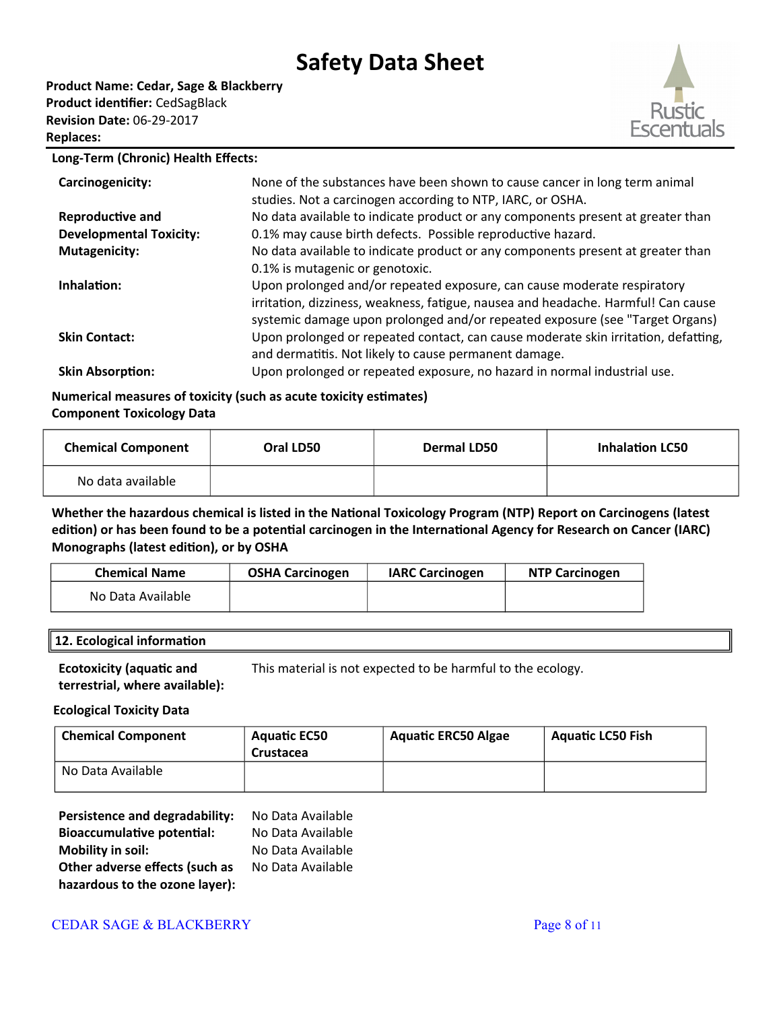**Product Name: Cedar, Sage & Blackberry Product identifier:** CedSagBlack **Revision Date:** 06-29-2017 **Replaces:** 



#### **Long-Term (Chronic) Health Effects:**

| Carcinogenicity:               | None of the substances have been shown to cause cancer in long term animal<br>studies. Not a carcinogen according to NTP, IARC, or OSHA.                                                                                                     |
|--------------------------------|----------------------------------------------------------------------------------------------------------------------------------------------------------------------------------------------------------------------------------------------|
| Reproductive and               | No data available to indicate product or any components present at greater than                                                                                                                                                              |
| <b>Developmental Toxicity:</b> | 0.1% may cause birth defects. Possible reproductive hazard.                                                                                                                                                                                  |
| <b>Mutagenicity:</b>           | No data available to indicate product or any components present at greater than                                                                                                                                                              |
|                                | 0.1% is mutagenic or genotoxic.                                                                                                                                                                                                              |
| Inhalation:                    | Upon prolonged and/or repeated exposure, can cause moderate respiratory<br>irritation, dizziness, weakness, fatigue, nausea and headache. Harmful! Can cause<br>systemic damage upon prolonged and/or repeated exposure (see "Target Organs) |
| <b>Skin Contact:</b>           | Upon prolonged or repeated contact, can cause moderate skin irritation, defatting,<br>and dermatitis. Not likely to cause permanent damage.                                                                                                  |
| <b>Skin Absorption:</b>        | Upon prolonged or repeated exposure, no hazard in normal industrial use.                                                                                                                                                                     |

#### **Numerical measures of toxicity (such as acute toxicity estimates) Component Toxicology Data**

| <b>Chemical Component</b> | Oral LD50 | Dermal LD50 | <b>Inhalation LC50</b> |
|---------------------------|-----------|-------------|------------------------|
| No data available         |           |             |                        |

**Whether the hazardous chemical is listed in the National Toxicology Program (NTP) Report on Carcinogens (latest edition) or has been found to be a potential carcinogen in the International Agency for Research on Cancer (IARC) Monographs (latest edition), or by OSHA**

| <b>Chemical Name</b> | <b>OSHA Carcinogen</b> | <b>IARC Carcinogen</b> | <b>NTP Carcinogen</b> |
|----------------------|------------------------|------------------------|-----------------------|
| No Data Available    |                        |                        |                       |

| 12. Ecological information |  |
|----------------------------|--|
|                            |  |

**Ecotoxicity (aquatic and**  This material is not expected to be harmful to the ecology.

**terrestrial, where available):**

#### **Ecological Toxicity Data**

| <b>Chemical Component</b> | <b>Aquatic EC50</b><br>Crustacea | <b>Aquatic ERC50 Algae</b> | <b>Aquatic LC50 Fish</b> |
|---------------------------|----------------------------------|----------------------------|--------------------------|
| No Data Available         |                                  |                            |                          |

| Persistence and degradability:    | No Data Available |
|-----------------------------------|-------------------|
| <b>Bioaccumulative potential:</b> | No Data Available |
| <b>Mobility in soil:</b>          | No Data Available |
| Other adverse effects (such as    | No Data Available |
| hazardous to the ozone layer):    |                   |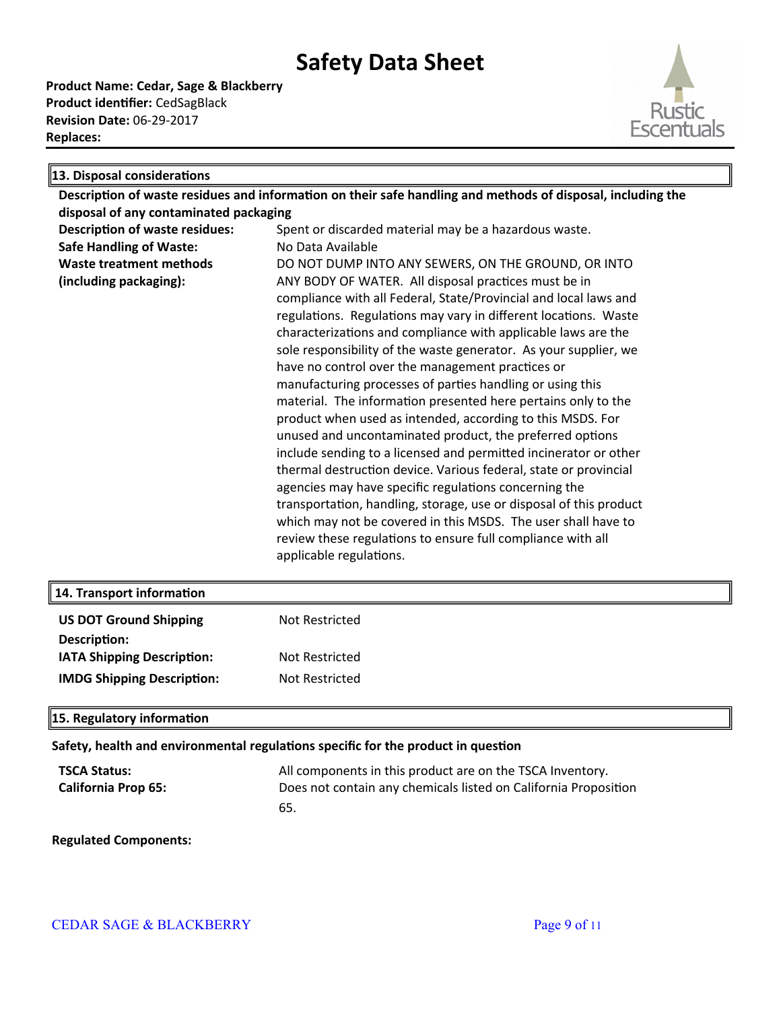**Product Name: Cedar, Sage & Blackberry Product identifier:** CedSagBlack **Revision Date:** 06-29-2017 **Replaces:** 



| 13. Disposal considerations                                                                                 |                                                                    |  |  |  |
|-------------------------------------------------------------------------------------------------------------|--------------------------------------------------------------------|--|--|--|
| Description of waste residues and information on their safe handling and methods of disposal, including the |                                                                    |  |  |  |
| disposal of any contaminated packaging                                                                      |                                                                    |  |  |  |
| <b>Description of waste residues:</b>                                                                       | Spent or discarded material may be a hazardous waste.              |  |  |  |
| <b>Safe Handling of Waste:</b>                                                                              | No Data Available                                                  |  |  |  |
| Waste treatment methods                                                                                     | DO NOT DUMP INTO ANY SEWERS, ON THE GROUND, OR INTO                |  |  |  |
| (including packaging):                                                                                      | ANY BODY OF WATER. All disposal practices must be in               |  |  |  |
|                                                                                                             | compliance with all Federal, State/Provincial and local laws and   |  |  |  |
|                                                                                                             | regulations. Regulations may vary in different locations. Waste    |  |  |  |
|                                                                                                             | characterizations and compliance with applicable laws are the      |  |  |  |
|                                                                                                             | sole responsibility of the waste generator. As your supplier, we   |  |  |  |
|                                                                                                             | have no control over the management practices or                   |  |  |  |
|                                                                                                             | manufacturing processes of parties handling or using this          |  |  |  |
|                                                                                                             | material. The information presented here pertains only to the      |  |  |  |
|                                                                                                             | product when used as intended, according to this MSDS. For         |  |  |  |
|                                                                                                             | unused and uncontaminated product, the preferred options           |  |  |  |
|                                                                                                             | include sending to a licensed and permitted incinerator or other   |  |  |  |
|                                                                                                             | thermal destruction device. Various federal, state or provincial   |  |  |  |
|                                                                                                             | agencies may have specific regulations concerning the              |  |  |  |
|                                                                                                             | transportation, handling, storage, use or disposal of this product |  |  |  |
|                                                                                                             | which may not be covered in this MSDS. The user shall have to      |  |  |  |
|                                                                                                             | review these regulations to ensure full compliance with all        |  |  |  |
|                                                                                                             | applicable regulations.                                            |  |  |  |

| 14. Transport information         |                |
|-----------------------------------|----------------|
| <b>US DOT Ground Shipping</b>     | Not Restricted |
| Description:                      |                |
| IATA Shipping Description:        | Not Restricted |
| <b>IMDG Shipping Description:</b> | Not Restricted |
|                                   |                |

#### **15. Regulatory information**

**Safety, health and environmental regulations specific for the product in question**

**TSCA Status:** All components in this product are on the TSCA Inventory. **California Prop 65:** Does not contain any chemicals listed on California Proposition 65.

#### **Regulated Components:**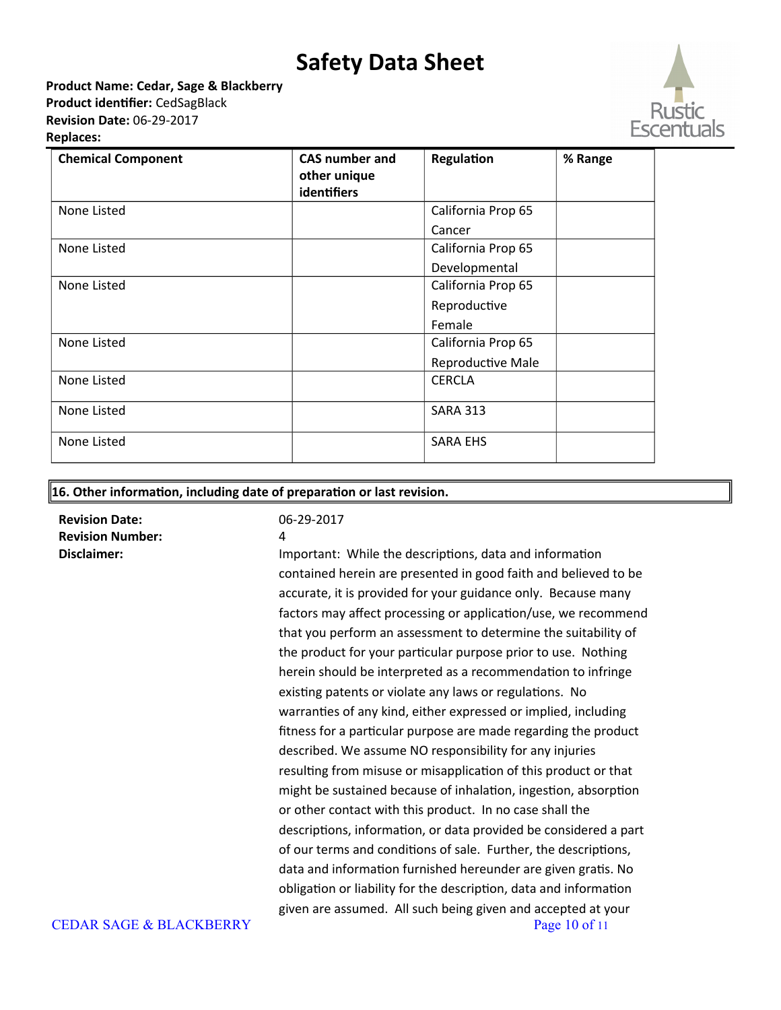**Product Name: Cedar, Sage & Blackberry Product identifier:** CedSagBlack **Revision Date:** 06-29-2017 **Replaces:** 



| <b>Chemical Component</b> | <b>CAS number and</b><br>other unique<br>identifiers | Regulation         | % Range |
|---------------------------|------------------------------------------------------|--------------------|---------|
| None Listed               |                                                      | California Prop 65 |         |
|                           |                                                      | Cancer             |         |
| None Listed               |                                                      | California Prop 65 |         |
|                           |                                                      | Developmental      |         |
| None Listed               |                                                      | California Prop 65 |         |
|                           |                                                      | Reproductive       |         |
|                           |                                                      | Female             |         |
| None Listed               |                                                      | California Prop 65 |         |
|                           |                                                      | Reproductive Male  |         |
| None Listed               |                                                      | <b>CERCLA</b>      |         |
| None Listed               |                                                      | <b>SARA 313</b>    |         |
| None Listed               |                                                      | <b>SARA EHS</b>    |         |

#### **16. Other information, including date of preparation or last revision.**

**Revision Date:** 06-29-2017 **Revision Number:**

**Disclaimer: Important: While the descriptions, data and information** contained herein are presented in good faith and believed to be accurate, it is provided for your guidance only. Because many factors may affect processing or application/use, we recommend that you perform an assessment to determine the suitability of the product for your particular purpose prior to use. Nothing herein should be interpreted as a recommendation to infringe existing patents or violate any laws or regulations. No warranties of any kind, either expressed or implied, including fitness for a particular purpose are made regarding the product described. We assume NO responsibility for any injuries resulting from misuse or misapplication of this product or that might be sustained because of inhalation, ingestion, absorption or other contact with this product. In no case shall the descriptions, information, or data provided be considered a part of our terms and conditions of sale. Further, the descriptions, data and information furnished hereunder are given gratis. No obligation or liability for the description, data and information given are assumed. All such being given and accepted at your CEDAR SAGE & BLACKBERRY Page 10 of 11